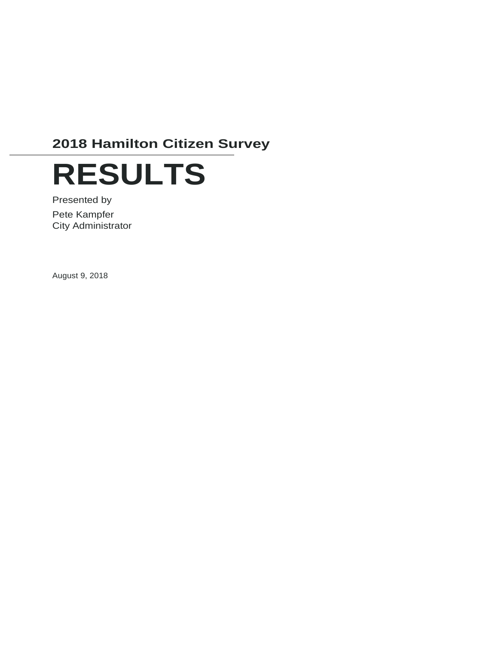# **2018 Hamilton Citizen Survey**



Presented by Pete Kampfer City Administrator

August 9, 2018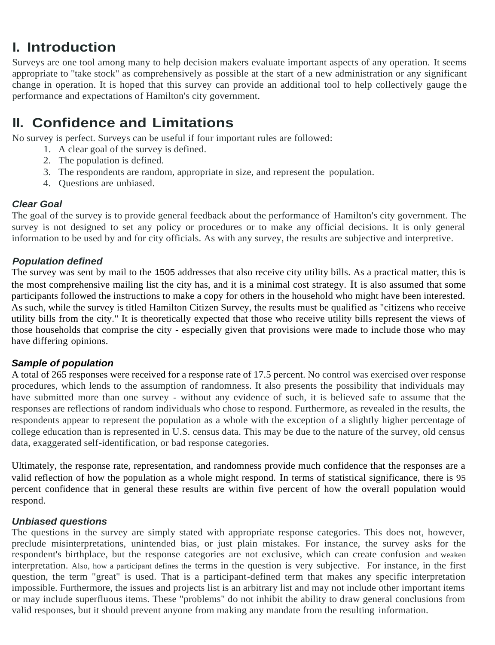## **I. Introduction**

Surveys are one tool among many to help decision makers evaluate important aspects of any operation. It seems appropriate to ''take stock" as comprehensively as possible at the start of a new administration or any significant change in operation. It is hoped that this survey can provide an additional tool to help collectively gauge the performance and expectations of Hamilton's city government.

## **II. Confidence and Limitations**

No survey is perfect. Surveys can be useful if four important rules are followed:

- 1. A clear goal of the survey is defined.
- 2. The population is defined.
- 3. The respondents are random, appropriate in size, and represent the population.
- 4. Questions are unbiased.

#### *Clear Goal*

The goal of the survey is to provide general feedback about the performance of Hamilton's city government. The survey is not designed to set any policy or procedures or to make any official decisions. It is only general information to be used by and for city officials. As with any survey, the results are subjective and interpretive.

#### *Population defined*

The survey was sent by mail to the 1505 addresses that also receive city utility bills. As a practical matter, this is the most comprehensive mailing list the city has, and it is a minimal cost strategy. It is also assumed that some participants followed the instructions to make a copy for others in the household who might have been interested. As such, while the survey is titled Hamilton Citizen Survey, the results must be qualified as "citizens who receive utility bills from the city." It is theoretically expected that those who receive utility bills represent the views of those households that comprise the city - especially given that provisions were made to include those who may have differing opinions.

#### *Sample of population*

A total of 265 responses were received for a response rate of 17.5 percent. No control was exercised over response procedures, which lends to the assumption of randomness. It also presents the possibility that individuals may have submitted more than one survey - without any evidence of such, it is believed safe to assume that the responses are reflections of random individuals who chose to respond. Furthermore, as revealed in the results, the respondents appear to represent the population as a whole with the exception of a slightly higher percentage of college education than is represented in U.S. census data. This may be due to the nature of the survey, old census data, exaggerated self-identification, or bad response categories.

Ultimately, the response rate, representation, and randomness provide much confidence that the responses are a valid reflection of how the population as a whole might respond. In terms of statistical significance, there is 95 percent confidence that in general these results are within five percent of how the overall population would respond.

#### *Unbiased questions*

The questions in the survey are simply stated with appropriate response categories. This does not, however, preclude misinterpretations, unintended bias, or just plain mistakes. For instance, the survey asks for the respondent's birthplace, but the response categories are not exclusive, which can create confusion and weaken interpretation. Also, how a participant defines the terms in the question is very subjective. For instance, in the first question, the term "great" is used. That is a participant-defined term that makes any specific interpretation impossible. Furthermore, the issues and projects list is an arbitrary list and may not include other important items or may include superfluous items. These "problems" do not inhibit the ability to draw general conclusions from valid responses, but it should prevent anyone from making any mandate from the resulting information.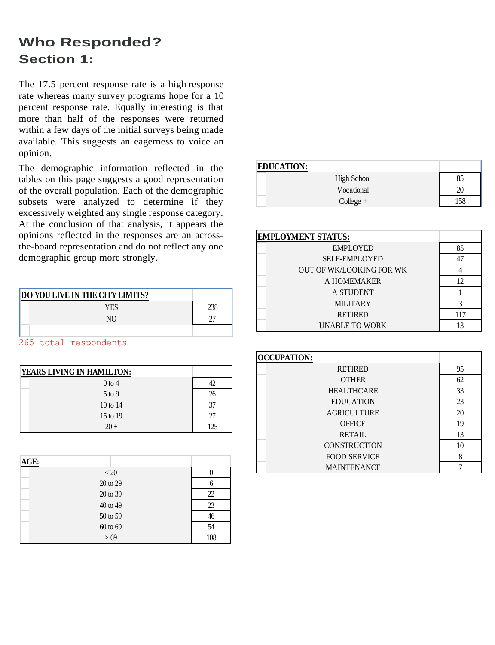## **Who Responded? Section 1:**

The 17.5 percent response rate is a high response rate whereas many survey programs hope for a 10 percent response rate. Equally interesting is that more than half of the responses were returned within a few days of the initial surveys being made available. This suggests an eagerness to voice an opinion.

The demographic information reflected in the tables on this page suggests a good representation of the overall population. Each of the demographic subsets were analyzed to determine if they excessively weighted any single response category. At the conclusion of that analysis, it appears the opinions reflected in the responses are an acrossthe-board representation and do not reflect any one demographic group more strongly.

| <b>DO YOU LIVE IN THE CITY LIMITS?</b> |  |
|----------------------------------------|--|
| YES                                    |  |
| N <sub>O</sub>                         |  |
|                                        |  |

265 total respondents

| <b>YEARS LIVING IN HAMILTON:</b> |     |
|----------------------------------|-----|
| $0$ to 4                         |     |
| $5$ to 9                         | 26  |
| 10 to 14                         | 37  |
| 15 to 19                         | 27  |
| $20+$                            | 125 |

| AGE:     |     |
|----------|-----|
| < 20     |     |
| 20 to 29 | 6   |
| 20 to 39 | 22  |
| 40 to 49 | 23  |
| 50 to 59 | 46  |
| 60 to 69 | 54  |
| > 69     | 108 |

| <b>EDUCATION:</b>  |    |
|--------------------|----|
| <b>High School</b> | 85 |
| Vocational         | 20 |
| $Collect +$        | 58 |

| <b>EMPLOYMENT STATUS:</b>       |     |
|---------------------------------|-----|
| <b>EMPLOYED</b>                 | 85  |
| <b>SELF-EMPLOYED</b>            |     |
| <b>OUT OF WK/LOOKING FOR WK</b> |     |
| A HOMEMAKER                     | 12. |
| A STUDENT                       |     |
| <b>MILITARY</b>                 |     |
| <b>RETIRED</b>                  | 117 |
| <b>UNABLE TO WORK</b>           |     |

| <b>OCCUPATION:</b>  |    |
|---------------------|----|
| <b>RETIRED</b>      | 95 |
| <b>OTHER</b>        | 62 |
| <b>HEALTHCARE</b>   | 33 |
| <b>EDUCATION</b>    | 23 |
| <b>AGRICULTURE</b>  | 20 |
| <b>OFFICE</b>       | 19 |
| <b>RETAIL</b>       | 13 |
| <b>CONSTRUCTION</b> | 10 |
| <b>FOOD SERVICE</b> | 8  |
| <b>MAINTENANCE</b>  |    |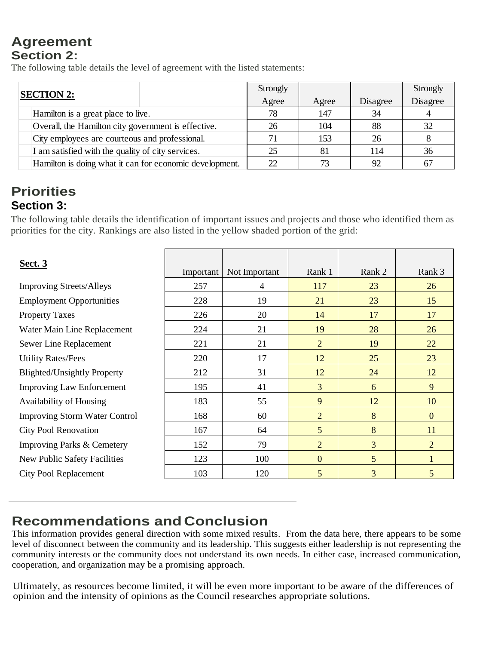### **Agreement Section 2:**

The following table details the level of agreement with the listed statements:

| <b>SECTION 2:</b>                                       | Strongly |       |          | Strongly |
|---------------------------------------------------------|----------|-------|----------|----------|
|                                                         | Agree    | Agree | Disagree | Disagree |
| Hamilton is a great place to live.                      | 78       | 147   | 34       |          |
| Overall, the Hamilton city government is effective.     | 26       | 104   | 88       | 32       |
| City employees are courteous and professional.          |          | 153   | 26       |          |
| I am satisfied with the quality of city services.       | 25       | 81    | 14       | 36       |
| Hamilton is doing what it can for economic development. | 22       | 73    | 92       | 67       |

### **Priorities Section 3:**

| Overall, the Hamilton city government is effective.<br>City employees are courteous and professional.<br>I am satisfied with the quality of city services.<br>Hamilton is doing what it can for economic development. | Agree<br>78<br>26<br>71<br>25<br>22 | Agree<br>147<br>104<br>153<br>81<br>73 | Disagree<br>34<br>88<br>26<br>114       | Disagree<br>$\overline{4}$<br>32<br>$8\phantom{.}$<br>36                                                                                                                                                                  |
|-----------------------------------------------------------------------------------------------------------------------------------------------------------------------------------------------------------------------|-------------------------------------|----------------------------------------|-----------------------------------------|---------------------------------------------------------------------------------------------------------------------------------------------------------------------------------------------------------------------------|
|                                                                                                                                                                                                                       |                                     |                                        |                                         |                                                                                                                                                                                                                           |
|                                                                                                                                                                                                                       |                                     |                                        |                                         |                                                                                                                                                                                                                           |
|                                                                                                                                                                                                                       |                                     |                                        |                                         |                                                                                                                                                                                                                           |
|                                                                                                                                                                                                                       |                                     |                                        |                                         |                                                                                                                                                                                                                           |
|                                                                                                                                                                                                                       |                                     |                                        |                                         |                                                                                                                                                                                                                           |
|                                                                                                                                                                                                                       |                                     |                                        | 92                                      | 67                                                                                                                                                                                                                        |
|                                                                                                                                                                                                                       |                                     |                                        |                                         |                                                                                                                                                                                                                           |
| Important                                                                                                                                                                                                             | Not Important                       | Rank 1                                 | Rank 2                                  | Rank 3                                                                                                                                                                                                                    |
| 257                                                                                                                                                                                                                   | 4                                   | 117                                    | 23                                      | 26                                                                                                                                                                                                                        |
| 228                                                                                                                                                                                                                   | 19                                  | 21                                     | 23                                      | 15                                                                                                                                                                                                                        |
| 226                                                                                                                                                                                                                   | 20                                  | 14                                     | 17                                      | 17                                                                                                                                                                                                                        |
| 224                                                                                                                                                                                                                   | 21                                  | 19                                     | 28                                      | 26                                                                                                                                                                                                                        |
| 221                                                                                                                                                                                                                   | 21                                  | $\overline{2}$                         | 19                                      | 22                                                                                                                                                                                                                        |
| 220                                                                                                                                                                                                                   | 17                                  | 12                                     | 25                                      | 23                                                                                                                                                                                                                        |
| 212                                                                                                                                                                                                                   | 31                                  | 12                                     | 24                                      | 12                                                                                                                                                                                                                        |
| 195                                                                                                                                                                                                                   |                                     | 3                                      | 6                                       | 9                                                                                                                                                                                                                         |
| 183                                                                                                                                                                                                                   | 55                                  | 9                                      | 12                                      | 10                                                                                                                                                                                                                        |
| 168                                                                                                                                                                                                                   | 60                                  | $\overline{2}$                         | 8                                       | $\overline{0}$                                                                                                                                                                                                            |
| 167                                                                                                                                                                                                                   | 64                                  | 5                                      | 8                                       | 11                                                                                                                                                                                                                        |
| 152                                                                                                                                                                                                                   | 79                                  |                                        | 3                                       | $\overline{c}$                                                                                                                                                                                                            |
|                                                                                                                                                                                                                       |                                     |                                        |                                         | $\mathbf 1$                                                                                                                                                                                                               |
|                                                                                                                                                                                                                       |                                     |                                        |                                         | 5                                                                                                                                                                                                                         |
|                                                                                                                                                                                                                       | 123<br>103                          | 41<br>100<br>120                       | $\overline{c}$<br>$\boldsymbol{0}$<br>5 | The following table details the identification of important issues and projects and those who identified them as<br>priorities for the city. Rankings are also listed in the yellow shaded portion of the grid:<br>5<br>3 |

### **Recommendations and Conclusion**

Ultimately, as resources become limited, it will be even more important to be aware of the differences of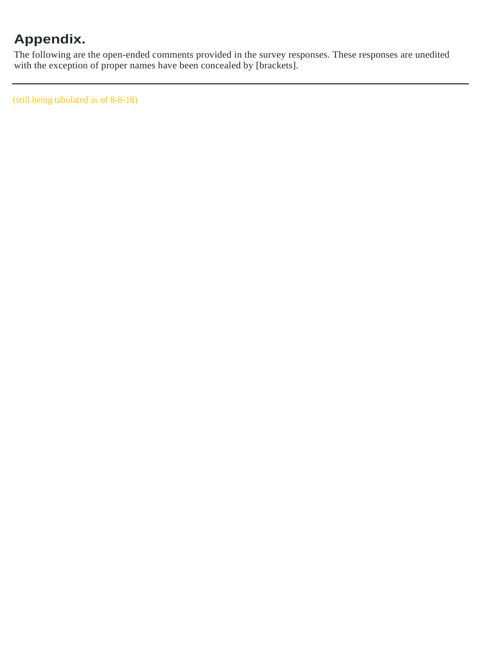# **Appendix.**

The following are the open-ended comments provided in the survey responses. These responses are unedited with the exception of proper names have been concealed by [brackets].

(still being tabulated as of 8-8-18)